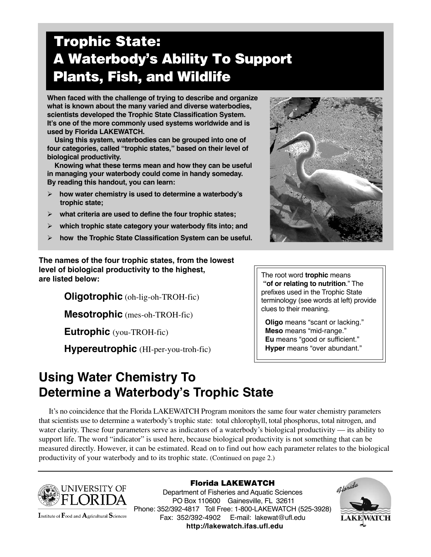# **Trophic State: A Waterbody's Ability To Support Plants, Fish, and Wildlife**

**When faced with the challenge of trying to describe and organize what is known about the many varied and diverse waterbodies, scientists developed the Trophic State Classification System. It's one of the more commonly used systems worldwide and is used by Florida LAKEWATCH.**

 **Using this system, waterbodies can be grouped into one of four categories, called "trophic states," based on their level of biological productivity.**

 **Knowing what these terms mean and how they can be useful in managing your waterbody could come in handy someday. By reading this handout, you can learn:**

- **how water chemistry is used to determine a waterbody's trophic state;**
- **what criteria are used to define the four trophic states;**
- **which trophic state category your waterbody fits into; and**
- **how the Trophic State Classification System can be useful.**

**The names of the four trophic states, from the lowest level of biological productivity to the highest, are listed below:**

**Oligotrophic** (oh-lig-oh-TROH-fic)

**Mesotrophic** (mes-oh-TROH-fic)

**Eutrophic** (you-TROH-fic)

**Hypereutrophic** (HI-per-you-troh-fic)



The root word **trophic** means **"of or relating to nutrition**." The prefixes used in the Trophic State terminology (see words at left) provide clues to their meaning.

 **Oligo** means "scant or lacking."  **Meso** means "mid-range."  **Eu** means "good or sufficient."  **Hyper** means "over abundant."

## **Using Water Chemistry To Determine a Waterbody's Trophic State**

 It's no coincidence that the Florida LAKEWATCH Program monitors the same four water chemistry parameters that scientists use to determine a waterbody's trophic state: total chlorophyll, total phosphorus, total nitrogen, and water clarity. These four parameters serve as indicators of a waterbody's biological productivity — its ability to support life. The word "indicator" is used here, because biological productivity is not something that can be measured directly. However, it can be estimated. Read on to find out how each parameter relates to the biological productivity of your waterbody and to its trophic state. (Continued on page 2.)



Institute of Food and Agricultural Sciences

**Florida LAKEWATCH** Department of Fisheries and Aquatic Sciences PO Box 110600 Gainesville, FL 32611 Phone: 352/392-4817 Toll Free: 1-800-LAKEWATCH (525-3928) Fax: 352/392-4902 E-mail: lakewat@ufl.edu **http://lakewatch.ifas.ufl.edu**

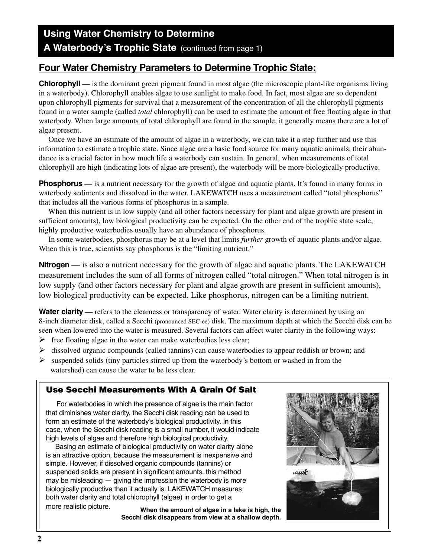### **Using Water Chemistry to Determine** A Waterbody's Trophic State (continued from page 1)

### **Four Water Chemistry Parameters to Determine Trophic State:**

**Chlorophyll** — is the dominant green pigment found in most algae (the microscopic plant-like organisms living in a waterbody). Chlorophyll enables algae to use sunlight to make food. In fact, most algae are so dependent upon chlorophyll pigments for survival that a measurement of the concentration of all the chlorophyll pigments found in a water sample (called *total* chlorophyll) can be used to estimate the amount of free floating algae in that waterbody. When large amounts of total chlorophyll are found in the sample, it generally means there are a lot of algae present.

 Once we have an estimate of the amount of algae in a waterbody, we can take it a step further and use this information to estimate a trophic state. Since algae are a basic food source for many aquatic animals, their abundance is a crucial factor in how much life a waterbody can sustain. In general, when measurements of total chlorophyll are high (indicating lots of algae are present), the waterbody will be more biologically productive.

**Phosphorus** — is a nutrient necessary for the growth of algae and aquatic plants. It's found in many forms in waterbody sediments and dissolved in the water. LAKEWATCH uses a measurement called "total phosphorus" that includes all the various forms of phosphorus in a sample.

 When this nutrient is in low supply (and all other factors necessary for plant and algae growth are present in sufficient amounts), low biological productivity can be expected. On the other end of the trophic state scale, highly productive waterbodies usually have an abundance of phosphorus.

 In some waterbodies, phosphorus may be at a level that limits *further* growth of aquatic plants and/or algae. When this is true, scientists say phosphorus is the "limiting nutrient."

**Nitrogen** — is also a nutrient necessary for the growth of algae and aquatic plants. The LAKEWATCH measurement includes the sum of all forms of nitrogen called "total nitrogen." When total nitrogen is in low supply (and other factors necessary for plant and algae growth are present in sufficient amounts), low biological productivity can be expected. Like phosphorus, nitrogen can be a limiting nutrient.

**Water clarity** — refers to the clearness or transparency of water. Water clarity is determined by using an 8-inch diameter disk, called a Secchi (pronounced SEC-ee) disk. The maximum depth at which the Secchi disk can be seen when lowered into the water is measured. Several factors can affect water clarity in the following ways:

- $\triangleright$  free floating algae in the water can make waterbodies less clear;
- $\triangleright$  dissolved organic compounds (called tannins) can cause waterbodies to appear reddish or brown; and
- $\triangleright$  suspended solids (tiny particles stirred up from the waterbody's bottom or washed in from the watershed) can cause the water to be less clear.

### **Use Secchi Measurements With A Grain Of Salt**

 For waterbodies in which the presence of algae is the main factor that diminishes water clarity, the Secchi disk reading can be used to form an estimate of the waterbody's biological productivity. In this case, when the Secchi disk reading is a small number, it would indicate high levels of algae and therefore high biological productivity.

 Basing an estimate of biological productivity on water clarity alone is an attractive option, because the measurement is inexpensive and simple. However, if dissolved organic compounds (tannins) or suspended solids are present in significant amounts, this method may be misleading — giving the impression the waterbody is more biologically productive than it actually is. LAKEWATCH measures both water clarity and total chlorophyll (algae) in order to get a

more realistic picture. **When the amount of algae in a lake is high, the Secchi disk disappears from view at a shallow depth.**

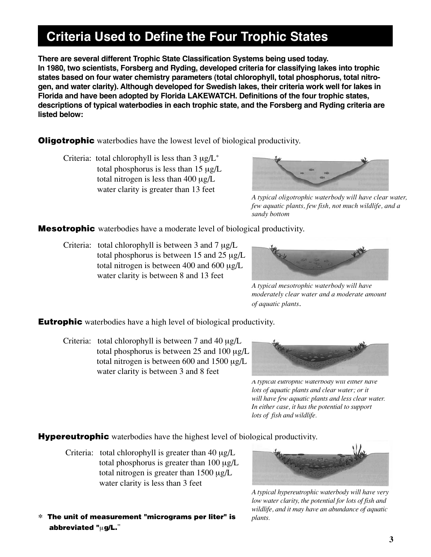## **Criteria Used to Define the Four Trophic States**

**There are several different Trophic State Classification Systems being used today. In 1980, two scientists, Forsberg and Ryding, developed criteria for classifying lakes into trophic states based on four water chemistry parameters (total chlorophyll, total phosphorus, total nitrogen, and water clarity). Although developed for Swedish lakes, their criteria work well for lakes in Florida and have been adopted by Florida LAKEWATCH. Definitions of the four trophic states, descriptions of typical waterbodies in each trophic state, and the Forsberg and Ryding criteria are listed below:**

**Oligotrophic** waterbodies have the lowest level of biological productivity.

Criteria: total chlorophyll is less than  $3 \mu g/L^*$  total phosphorus is less than 15 µg/L total nitrogen is less than 400 µg/L water clarity is greater than 13 feet



*A typical oligotrophic waterbody will have clear water, few aquatic plants, few fish, not much wildlife, and a sandy bottom*

**Mesotrophic** waterbodies have a moderate level of biological productivity.

Criteria: total chlorophyll is between 3 and 7  $\mu$ g/L total phosphorus is between 15 and 25 µg/L total nitrogen is between 400 and 600 µg/L water clarity is between 8 and 13 feet



*A typical mesotrophic waterbody will have moderately clear water and a moderate amount of aquatic plants*.

**Eutrophic** waterbodies have a high level of biological productivity.

Criteria: total chlorophyll is between 7 and 40  $\mu$ g/L total phosphorus is between 25 and 100 µg/L total nitrogen is between 600 and 1500 µg/L water clarity is between 3 and 8 feet



*A typical eutrophic waterbody will either have lots of aquatic plants and clear water; or it will have few aquatic plants and less clear water. In either case, it has the potential to support lots of fish and wildlife.*

**Hypereutrophic** waterbodies have the highest level of biological productivity.

- Criteria: total chlorophyll is greater than  $40 \mu g/L$  total phosphorus is greater than 100 µg/L total nitrogen is greater than  $1500 \mu g/L$ water clarity is less than 3 feet
- ∗ **The unit of measurement "micrograms per liter" is abbreviated "**µ**g/L.**"



*A typical hypereutrophic waterbody will have very low water clarity, the potential for lots of fish and wildlife, and it may have an abundance of aquatic plants.*